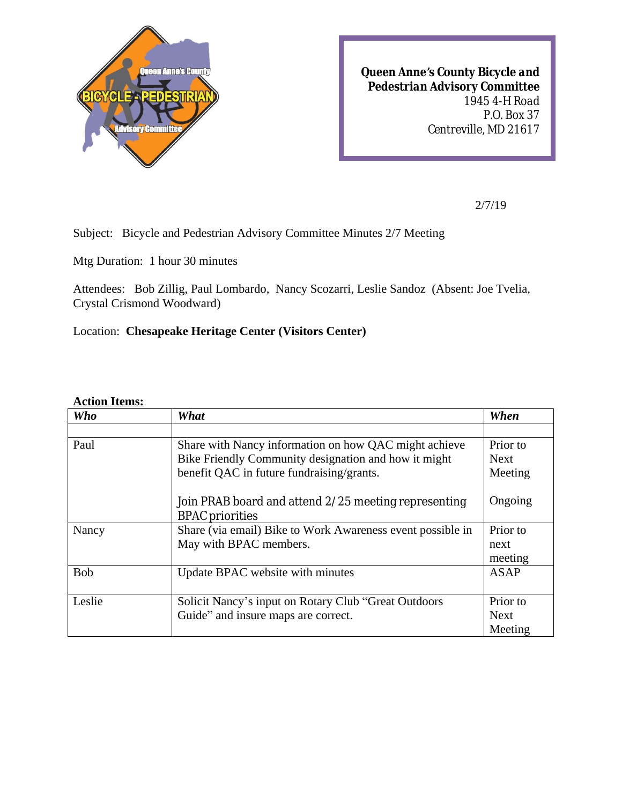

*Queen Anne's County Bicycle and Pedestrian Advisory Committee 1945 4-H Road P.O. Box 37 Centreville, MD 21617*

2/7/19

Subject: Bicycle and Pedestrian Advisory Committee Minutes 2/7 Meeting

Mtg Duration: 1 hour 30 minutes

Attendees: Bob Zillig, Paul Lombardo, Nancy Scozarri, Leslie Sandoz (Absent: Joe Tvelia, Crystal Crismond Woodward)

Location: **Chesapeake Heritage Center (Visitors Center)**

## **Action Items:**

| <b>Who</b> | What                                                       | When        |
|------------|------------------------------------------------------------|-------------|
|            |                                                            |             |
| Paul       | Share with Nancy information on how QAC might achieve      | Prior to    |
|            | Bike Friendly Community designation and how it might       | <b>Next</b> |
|            | benefit QAC in future fundraising/grants.                  | Meeting     |
|            |                                                            |             |
|            | Join PRAB board and attend 2/25 meeting representing       | Ongoing     |
|            | <b>BPAC</b> priorities                                     |             |
| Nancy      | Share (via email) Bike to Work Awareness event possible in | Prior to    |
|            | May with BPAC members.                                     | next        |
|            |                                                            | meeting     |
| <b>Bob</b> | Update BPAC website with minutes                           | <b>ASAP</b> |
|            |                                                            |             |
| Leslie     | Solicit Nancy's input on Rotary Club "Great Outdoors"      | Prior to    |
|            | Guide" and insure maps are correct.                        | <b>Next</b> |
|            |                                                            | Meeting     |